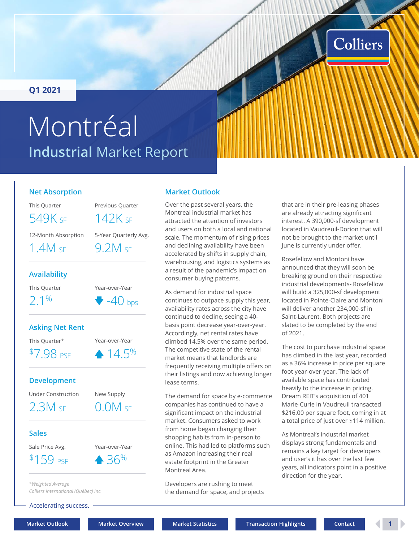### <span id="page-0-0"></span>**Q1 2021**

# **Industrial** Market Report Montréal

### **Net Absorption**

This Quarter Previous Quarter

549K SE 142K SE

12-Month Absorption 5-Year Quarterly Avg.

1.4M SF 9.2M SF

### **Availability**

This Quarter Year-over-Year

 $2.1\%$   $\bullet$  -40 bps

### **Asking Net Rent**

This Quarter\* Year-over-Year  $$7.98 \text{ pse} \qquad 14.5\%$ 

**Development**

Under Construction New Supply

 $2.3M$  SF  $0.0M$  SF

### **Sales**

Sale Price Avg. Year-over-Year



*\*Weighted Average Colliers International (Québec) Inc.*

Accelerating success.

### **Market Outlook**

Over the past several years, the Montreal industrial market has attracted the attention of investors and users on both a local and national scale. The momentum of rising prices and declining availability have been accelerated by shifts in supply chain, warehousing, and logistics systems as a result of the pandemic's impact on consumer buying patterns.

As demand for industrial space continues to outpace supply this year, availability rates across the city have continued to decline, seeing a 40 basis point decrease year-over-year. Accordingly, net rental rates have climbed 14.5% over the same period. The competitive state of the rental market means that landlords are frequently receiving multiple offers on their listings and now achieving longer lease terms.

The demand for space by e-commerce companies has continued to have a significant impact on the industrial market. Consumers asked to work from home began changing their shopping habits from in-person to online. This had led to platforms such as Amazon increasing their real estate footprint in the Greater Montreal Area.

Developers are rushing to meet the demand for space, and projects

that are in their pre-leasing phases are already attracting significant interest. A 390,000-sf development located in Vaudreuil-Dorion that will not be brought to the market until June is currently under offer.

Colliers

Rosefellow and Montoni have announced that they will soon be breaking ground on their respective industrial developments- Rosefellow will build a 325,000-sf development located in Pointe-Claire and Montoni will deliver another 234,000-sf in Saint-Laurent. Both projects are slated to be completed by the end of 2021.

The cost to purchase industrial space has climbed in the last year, recorded as a 36% increase in price per square foot year-over-year. The lack of available space has contributed heavily to the increase in pricing. Dream REIT's acquisition of 401 Marie-Curie in Vaudreuil transacted \$216.00 per square foot, coming in at a total price of just over \$114 million.

As Montreal's industrial market displays strong fundamentals and remains a key target for developers and user's it has over the last few years, all indicators point in a positive direction for the year.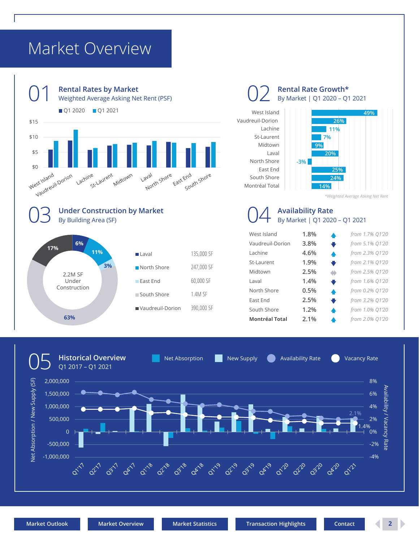## <span id="page-1-0"></span>Market Overview



Vaudreuil-Dorion

**Rental Rate Growth\*** By Market | Q1 2020 – Q1 2021





*\*Weighted Average Asking Net Rent*

### **Availability Rate** By Market | Q1 2020 – Q1 2021

| West Island           | 1.8% | ▲ | from 1.7% Q1'20 |
|-----------------------|------|---|-----------------|
| Vaudreuil-Dorion      | 3.8% | ₩ | from 5.1% Q1'20 |
| Lachine               | 4.6% | ▲ | from 2.3% Q1'20 |
| St-Laurent            | 1.9% | ₩ | from 2.1% Q1'20 |
| Midtown               | 2.5% | ۰ | from 2.5% Q1'20 |
| Laval                 | 1.4% | ₩ | from 1.6% Q1'20 |
| North Shore           | 0.5% | ▲ | from 0.2% Q1'20 |
| East End              | 2.5% | ₩ | from 3.2% Q1'20 |
| South Shore           | 1.2% | ▲ | from 1.0% Q1'20 |
| <b>Montréal Total</b> | 2.1% |   | from 2.0% Q1'20 |



390,000 SF

**63%**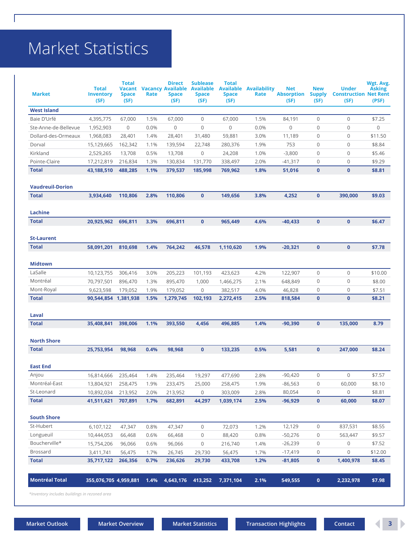## <span id="page-2-0"></span>Market Statistics

| <b>Market</b>                                 | <b>Total</b><br><b>Inventory</b><br>(SF) | <b>Total</b><br>Vacant<br><b>Space</b><br>(SF) | Rate | <b>Direct</b><br><b>Vacancy Available</b><br><b>Space</b><br>(SF) | <b>Sublease</b><br><b>Available</b><br><b>Space</b><br>(SF) | Total<br><b>Available</b><br><b>Space</b><br>(SF) | <b>Availability</b><br>Rate | <b>Net</b><br><b>Absorption</b><br>(SF) | <b>New</b><br><b>Supply</b><br>(SF) | <b>Under</b><br><b>Construction Net Rent</b><br>(SF) | Wgt. Avg.<br><b>Asking</b><br>(PSF) |
|-----------------------------------------------|------------------------------------------|------------------------------------------------|------|-------------------------------------------------------------------|-------------------------------------------------------------|---------------------------------------------------|-----------------------------|-----------------------------------------|-------------------------------------|------------------------------------------------------|-------------------------------------|
| <b>West Island</b>                            |                                          |                                                |      |                                                                   |                                                             |                                                   |                             |                                         |                                     |                                                      |                                     |
| Baie D'Urfé                                   | 4,395,775                                | 67,000                                         | 1.5% | 67,000                                                            | 0                                                           | 67,000                                            | 1.5%                        | 84,191                                  | $\mathbf 0$                         | 0                                                    | \$7.25                              |
| Ste-Anne-de-Bellevue                          | 1,952,903                                | 0                                              | 0.0% | $\mathbf 0$                                                       | $\overline{0}$                                              | 0                                                 | 0.0%                        | 0                                       | $\mathbf 0$                         | 0                                                    | 0                                   |
| Dollard-des-Ormeaux                           | 1,968,083                                | 28,401                                         | 1.4% | 28,401                                                            | 31,480                                                      | 59,881                                            | 3.0%                        | 11,189                                  | $\mathbf 0$                         | 0                                                    | \$11.50                             |
| Dorval                                        | 15,129,665                               | 162,342                                        | 1.1% | 139,594                                                           | 22,748                                                      | 280,376                                           | 1.9%                        | 753                                     | $\mathbf 0$                         | $\mathbf{0}$                                         | \$8.84                              |
| Kirkland                                      | 2,529,265                                | 13,708                                         | 0.5% | 13,708                                                            | 0                                                           | 24,208                                            | 1.0%                        | $-3,800$                                | 0                                   | 0                                                    | \$5.46                              |
| Pointe-Claire                                 | 17,212,819                               | 216,834                                        | 1.3% | 130,834                                                           | 131,770                                                     | 338,497                                           | 2.0%                        | $-41,317$                               | 0                                   | 0                                                    | \$9.29                              |
| <b>Total</b>                                  | 43,188,510                               | 488,285                                        | 1.1% | 379,537                                                           | 185,998                                                     | 769,962                                           | 1.8%                        | 51,016                                  | $\bf{0}$                            | $\mathbf{0}$                                         | \$8.81                              |
| <b>Vaudreuil-Dorion</b>                       |                                          |                                                |      |                                                                   |                                                             |                                                   |                             |                                         |                                     |                                                      |                                     |
| <b>Total</b>                                  | 3,934,640                                | 110,806                                        | 2.8% | 110,806                                                           | $\mathbf{0}$                                                | 149,656                                           | 3.8%                        | 4,252                                   | $\mathbf{0}$                        | 390,000                                              | \$9.03                              |
| Lachine                                       |                                          |                                                |      |                                                                   |                                                             |                                                   |                             |                                         |                                     |                                                      |                                     |
| <b>Total</b>                                  | 20,925,962                               | 696,811                                        | 3.3% | 696,811                                                           | $\mathbf{0}$                                                | 965,449                                           | 4.6%                        | $-40,433$                               | $\bf{0}$                            | $\mathbf{0}$                                         | \$6.47                              |
| <b>St-Laurent</b>                             |                                          |                                                |      |                                                                   |                                                             |                                                   |                             |                                         |                                     |                                                      |                                     |
| <b>Total</b>                                  | 58,091,201                               | 810,698                                        | 1.4% | 764,242                                                           | 46,578                                                      | 1,110,620                                         | 1.9%                        | $-20,321$                               | $\bf{0}$                            | $\mathbf{0}$                                         | \$7.78                              |
| <b>Midtown</b>                                |                                          |                                                |      |                                                                   |                                                             |                                                   |                             |                                         |                                     |                                                      |                                     |
| LaSalle                                       | 10,123,755                               | 306,416                                        | 3.0% | 205,223                                                           | 101,193                                                     | 423,623                                           | 4.2%                        | 122,907                                 | $\overline{0}$                      | 0                                                    | \$10.00                             |
| Montréal                                      | 70,797,501                               | 896,470                                        | 1.3% | 895,470                                                           | 1,000                                                       | 1,466,275                                         | 2.1%                        | 648,849                                 | 0                                   | $\mathbf 0$                                          | \$8.00                              |
| Mont-Royal                                    | 9,623,598                                | 179,052                                        | 1.9% | 179,052                                                           | $\mathbf 0$                                                 | 382,517                                           | 4.0%                        | 46,828                                  | 0                                   | 0                                                    | \$7.51                              |
| <b>Total</b>                                  | 90,544,854 1,381,938                     |                                                | 1.5% | 1,279,745                                                         | 102,193                                                     | 2,272,415                                         | 2.5%                        | 818,584                                 | $\bf{0}$                            | $\mathbf{0}$                                         | \$8.21                              |
| Laval                                         |                                          |                                                |      |                                                                   |                                                             |                                                   |                             |                                         |                                     |                                                      |                                     |
| <b>Total</b>                                  | 35,408,841                               | 398,006                                        | 1.1% | 393,550                                                           | 4,456                                                       | 496,885                                           | 1.4%                        | $-90,390$                               | $\mathbf{0}$                        | 135,000                                              | 8.79                                |
| <b>North Shore</b>                            |                                          |                                                |      |                                                                   |                                                             |                                                   |                             |                                         |                                     |                                                      |                                     |
| <b>Total</b>                                  | 25,753,954                               | 98.968                                         | 0.4% | 98,968                                                            | $\mathbf{0}$                                                | 133,235                                           | 0.5%                        | 5,581                                   | $\mathbf{0}$                        | 247,000                                              | \$8.24                              |
| <b>East End</b>                               |                                          |                                                |      |                                                                   |                                                             |                                                   |                             |                                         |                                     |                                                      |                                     |
| Anjou                                         | 16,814,666                               | 235,464                                        | 1.4% | 235,464                                                           | 19,297                                                      | 477.690                                           | 2.8%                        | $-90,420$                               | 0                                   | $\circ$                                              | \$7.57                              |
| Montréal-East                                 | 13,804,921                               | 258,475                                        | 1.9% | 233,475                                                           | 25,000                                                      | 258,475                                           | 1.9%                        | $-86,563$                               | $\mathbf 0$                         | 60,000                                               | \$8.10                              |
| St-Leonard                                    | 10,892,034                               | 213,952                                        | 2.0% | 213,952                                                           | 0                                                           | 303,009                                           | 2.8%                        | 80,054                                  | 0                                   | 0                                                    | \$8.81                              |
| <b>Total</b>                                  | 41,511,621                               | 707,891                                        | 1.7% | 682,891                                                           | 44,297                                                      | 1,039,174                                         | 2.5%                        | $-96,929$                               | $\bf{0}$                            | 60,000                                               | \$8.07                              |
| <b>South Shore</b>                            |                                          |                                                |      |                                                                   |                                                             |                                                   |                             |                                         |                                     |                                                      |                                     |
| St-Hubert                                     | 6,107,122                                | 47,347                                         | 0.8% | 47,347                                                            | 0                                                           | 72,073                                            | 1.2%                        | 12,129                                  | 0                                   | 837,531                                              | \$8.55                              |
| Longueuil                                     | 10,444,053                               | 66,468                                         | 0.6% | 66,468                                                            | 0                                                           | 88,420                                            | 0.8%                        | $-50,276$                               | 0                                   | 563,447                                              | \$9.57                              |
| Boucherville*                                 | 15,754,206                               | 96,066                                         | 0.6% | 96,066                                                            | 0                                                           | 216,740                                           | 1.4%                        | $-26,239$                               | 0                                   | 0                                                    | \$7.52                              |
| Brossard                                      | 3,411,741                                | 56,475                                         | 1.7% | 26,745                                                            | 29,730                                                      | 56,475                                            | 1.7%                        | $-17,419$                               | 0                                   | 0                                                    | \$12.00                             |
| <b>Total</b>                                  | 35,717,122                               | 266,356                                        | 0.7% | 236,626                                                           | 29,730                                                      | 433,708                                           | 1.2%                        | $-81,805$                               | $\pmb{0}$                           | 1,400,978                                            | \$8.45                              |
| <b>Montréal Total</b>                         | 355,076,705 4,959,881                    |                                                | 1.4% | 4,643,176                                                         | 413,252                                                     | 7,371,104                                         | 2.1%                        | 549,555                                 | $\mathbf{0}$                        | 2,232,978                                            | \$7.98                              |
| *Inventory includes buildings in rezoned area |                                          |                                                |      |                                                                   |                                                             |                                                   |                             |                                         |                                     |                                                      |                                     |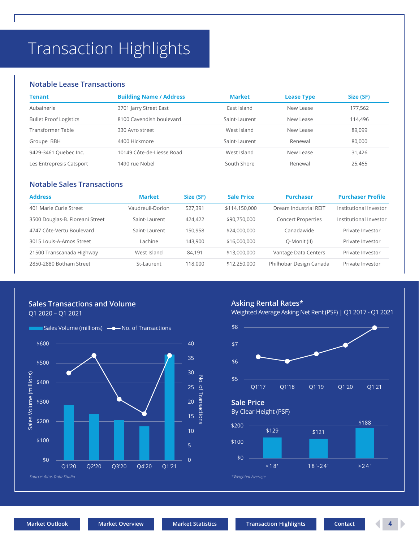## <span id="page-3-0"></span>Transaction Highlights

### **Notable Lease Transactions**

| Tenant                        | <b>Building Name / Address</b> | <b>Market</b> | <b>Lease Type</b> | Size (SF) |
|-------------------------------|--------------------------------|---------------|-------------------|-----------|
| Aubainerie                    | 3701 Jarry Street East         | East Island   | New Lease         | 177,562   |
| <b>Bullet Proof Logistics</b> | 8100 Cavendish boulevard       | Saint-Laurent | New Lease         | 114.496   |
| Transformer Table             | 330 Avro street                | West Island   | New Lease         | 89.099    |
| Groupe BBH                    | 4400 Hickmore                  | Saint-Laurent | Renewal           | 80,000    |
| 9429-3461 Quebec Inc.         | 10149 Côte-de-Liesse Road      | West Island   | New Lease         | 31,426    |
| Les Entrepresis Catsport      | 1490 rue Nobel                 | South Shore   | Renewal           | 25.465    |

### **Notable Sales Transactions**

| <b>Address</b>                  | <b>Market</b>    | Size (SF) | <b>Sale Price</b> | <b>Purchaser</b>          | <b>Purchaser Profile</b> |
|---------------------------------|------------------|-----------|-------------------|---------------------------|--------------------------|
| 401 Marie Curie Street          | Vaudreuil-Dorion | 527.391   | \$114,150,000     | Dream Industrial REIT     | Institutional Investor   |
| 3500 Douglas-B. Floreani Street | Saint-Laurent    | 424.422   | \$90,750,000      | <b>Concert Properties</b> | Institutional Investor   |
| 4747 Côte-Vertu Boulevard       | Saint-Laurent    | 150.958   | \$24,000,000      | Canadawide                | Private Investor         |
| 3015 Louis-A-Amos Street        | Lachine          | 143.900   | \$16,000,000      | Q-Monit (II)              | Private Investor         |
| 21500 Transcanada Highway       | West Island      | 84.191    | \$13,000,000      | Vantage Data Centers      | Private Investor         |
| 2850-2880 Botham Street         | St-Laurent       | 118,000   | \$12,250,000      | Philhobar Design Canada   | Private Investor         |

### **Sales Transactions and Volume**

Q1 2020 – Q1 2021



### **Asking Rental Rates\***

Weighted Average Asking Net Rent (PSF) | Q1 2017 - Q1 2021



**Sale Price**

By Clear Height (PSF)